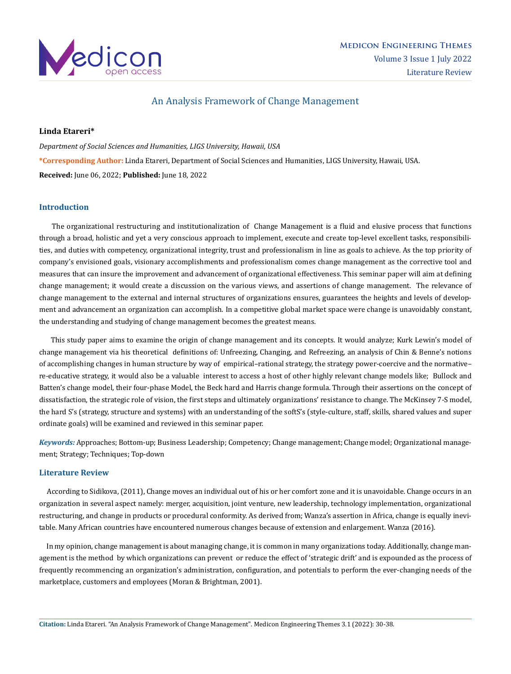

# An Analysis Framework of Change Management

# **Linda Etareri\***

*Department of Social Sciences and Humanities, LIGS University, Hawaii, USA* **\*Corresponding Author:** Linda Etareri, Department of Social Sciences and Humanities, LIGS University, Hawaii, USA. **Received:** June 06, 2022; **Published:** June 18, 2022

# **Introduction**

 The organizational restructuring and institutionalization of Change Management is a fluid and elusive process that functions through a broad, holistic and yet a very conscious approach to implement, execute and create top-level excellent tasks, responsibilities, and duties with competency, organizational integrity, trust and professionalism in line as goals to achieve. As the top priority of company's envisioned goals, visionary accomplishments and professionalism comes change management as the corrective tool and measures that can insure the improvement and advancement of organizational effectiveness. This seminar paper will aim at defining change management; it would create a discussion on the various views, and assertions of change management. The relevance of change management to the external and internal structures of organizations ensures, guarantees the heights and levels of development and advancement an organization can accomplish. In a competitive global market space were change is unavoidably constant, the understanding and studying of change management becomes the greatest means.

 This study paper aims to examine the origin of change management and its concepts. It would analyze; Kurk Lewin's model of change management via his theoretical definitions of: Unfreezing, Changing, and Refreezing, an analysis of Chin & Benne's notions of accomplishing changes in human structure by way of empirical–rational strategy, the strategy power-coercive and the normative– re-educative strategy, it would also be a valuable interest to access a host of other highly relevant change models like; Bullock and Batten's change model, their four-phase Model, the Beck hard and Harris change formula. Through their assertions on the concept of dissatisfaction, the strategic role of vision, the first steps and ultimately organizations' resistance to change. The McKinsey 7-S model, the hard S's (strategy, structure and systems) with an understanding of the softS's (style-culture, staff, skills, shared values and super ordinate goals) will be examined and reviewed in this seminar paper.

*Keywords:* Approaches; Bottom-up; Business Leadership; Competency; Change management; Change model; Organizational management; Strategy; Techniques; Top-down

# **Literature Review**

 According to Sidikova, (2011), Change moves an individual out of his or her comfort zone and it is unavoidable. Change occurs in an organization in several aspect namely: merger, acquisition, joint venture, new leadership, technology implementation, organizational restructuring, and change in products or procedural conformity. As derived from; Wanza's assertion in Africa, change is equally inevitable. Many African countries have encountered numerous changes because of extension and enlargement. Wanza (2016).

 In my opinion, change management is about managing change, it is common in many organizations today. Additionally, change management is the method by which organizations can prevent or reduce the effect of 'strategic drift' and is expounded as the process of frequently recommencing an organization's administration, configuration, and potentials to perform the ever-changing needs of the marketplace, customers and employees (Moran & Brightman, 2001).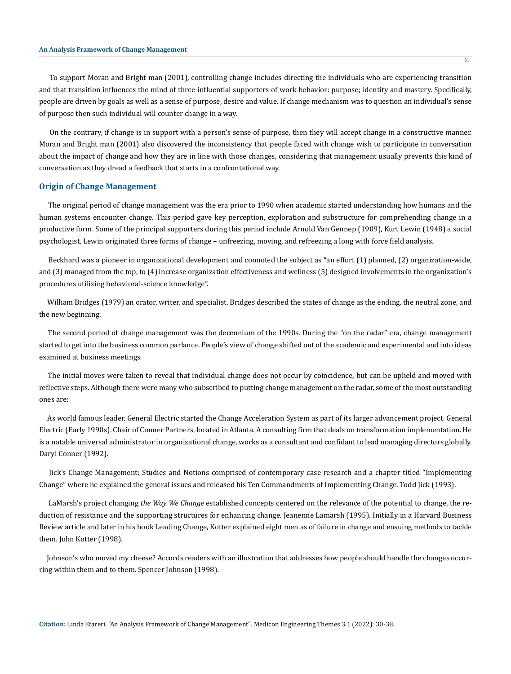To support Moran and Bright man (2001), controlling change includes directing the individuals who are experiencing transition and that transition influences the mind of three influential supporters of work behavior: purpose; identity and mastery. Specifically, people are driven by goals as well as a sense of purpose, desire and value. If change mechanism was to question an individual's sense of purpose then such individual will counter change in a way.

 On the contrary, if change is in support with a person's sense of purpose, then they will accept change in a constructive manner. Moran and Bright man (2001) also discovered the inconsistency that people faced with change wish to participate in conversation about the impact of change and how they are in line with those changes, considering that management usually prevents this kind of conversation as they dread a feedback that starts in a confrontational way.

### **Origin of Change Management**

 The original period of change management was the era prior to 1990 when academic started understanding how humans and the human systems encounter change. This period gave key perception, exploration and substructure for comprehending change in a productive form. Some of the principal supporters during this period include Arnold Van Gennep (1909), Kurt Lewin (1948) a social psychologist, Lewin originated three forms of change – unfreezing, moving, and refreezing a long with force field analysis.

 Beckhard was a pioneer in organizational development and connoted the subject as "an effort (1) planned, (2) organization-wide, and (3) managed from the top, to (4) increase organization effectiveness and wellness (5) designed involvements in the organization's procedures utilizing behavioral-science knowledge".

 William Bridges (1979) an orator, writer, and specialist. Bridges described the states of change as the ending, the neutral zone, and the new beginning.

 The second period of change management was the decennium of the 1990s. During the "on the radar" era, change management started to get into the business common parlance. People's view of change shifted out of the academic and experimental and into ideas examined at business meetings.

 The initial moves were taken to reveal that individual change does not occur by coincidence, but can be upheld and moved with reflective steps. Although there were many who subscribed to putting change management on the radar, some of the most outstanding ones are:

 As world famous leader, General Electric started the Change Acceleration System as part of its larger advancement project. General Electric (Early 1990s). Chair of Conner Partners, located in Atlanta. A consulting firm that deals on transformation implementation. He is a notable universal administrator in organizational change, works as a consultant and confidant to lead managing directors globally. Daryl Conner (1992).

 Jick's Change Management: Studies and Notions comprised of contemporary case research and a chapter titled "Implementing Change" where he explained the general issues and released his Ten Commandments of Implementing Change. Todd Jick (1993).

 LaMarsh's project changing *the Way We Change* established concepts centered on the relevance of the potential to change, the reduction of resistance and the supporting structures for enhancing change. Jeanenne Lamarsh (1995). Initially in a Harvard Business Review article and later in his book Leading Change, Kotter explained eight men as of failure in change and ensuing methods to tackle them. John Kotter (1998).

 Johnson's who moved my cheese? Accords readers with an illustration that addresses how people should handle the changes occurring within them and to them. Spencer Johnson (1998).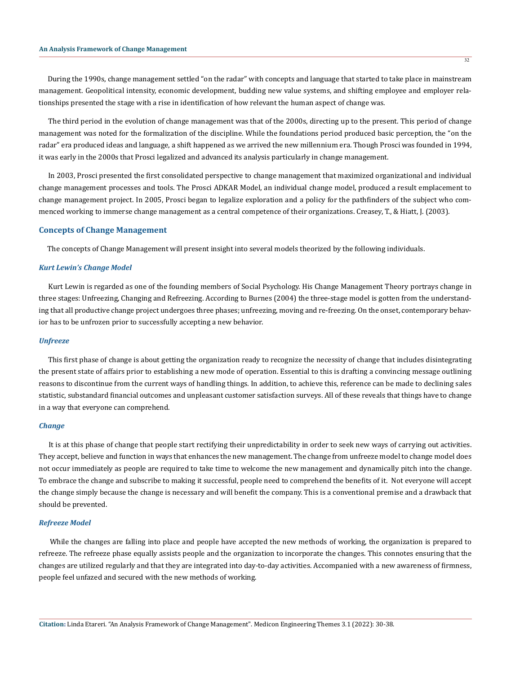During the 1990s, change management settled "on the radar" with concepts and language that started to take place in mainstream management. Geopolitical intensity, economic development, budding new value systems, and shifting employee and employer relationships presented the stage with a rise in identification of how relevant the human aspect of change was.

 The third period in the evolution of change management was that of the 2000s, directing up to the present. This period of change management was noted for the formalization of the discipline. While the foundations period produced basic perception, the "on the radar" era produced ideas and language, a shift happened as we arrived the new millennium era. Though Prosci was founded in 1994, it was early in the 2000s that Prosci legalized and advanced its analysis particularly in change management.

 In 2003, Prosci presented the first consolidated perspective to change management that maximized organizational and individual change management processes and tools. The Prosci ADKAR Model, an individual change model, produced a result emplacement to change management project. In 2005, Prosci began to legalize exploration and a policy for the pathfinders of the subject who commenced working to immerse change management as a central competence of their organizations. Creasey, T., & Hiatt, J. (2003).

### **Concepts of Change Management**

The concepts of Change Management will present insight into several models theorized by the following individuals.

#### *Kurt Lewin's Change Model*

 Kurt Lewin is regarded as one of the founding members of Social Psychology. His Change Management Theory portrays change in three stages: Unfreezing, Changing and Refreezing. According to Burnes (2004) the three-stage model is gotten from the understanding that all productive change project undergoes three phases; unfreezing, moving and re-freezing. On the onset, contemporary behavior has to be unfrozen prior to successfully accepting a new behavior.

#### *Unfreeze*

 This first phase of change is about getting the organization ready to recognize the necessity of change that includes disintegrating the present state of affairs prior to establishing a new mode of operation. Essential to this is drafting a convincing message outlining reasons to discontinue from the current ways of handling things. In addition, to achieve this, reference can be made to declining sales statistic, substandard financial outcomes and unpleasant customer satisfaction surveys. All of these reveals that things have to change in a way that everyone can comprehend.

#### *Change*

 It is at this phase of change that people start rectifying their unpredictability in order to seek new ways of carrying out activities. They accept, believe and function in ways that enhances the new management. The change from unfreeze model to change model does not occur immediately as people are required to take time to welcome the new management and dynamically pitch into the change. To embrace the change and subscribe to making it successful, people need to comprehend the benefits of it. Not everyone will accept the change simply because the change is necessary and will benefit the company. This is a conventional premise and a drawback that should be prevented.

#### *Refreeze Model*

 While the changes are falling into place and people have accepted the new methods of working, the organization is prepared to refreeze. The refreeze phase equally assists people and the organization to incorporate the changes. This connotes ensuring that the changes are utilized regularly and that they are integrated into day-to-day activities. Accompanied with a new awareness of firmness, people feel unfazed and secured with the new methods of working.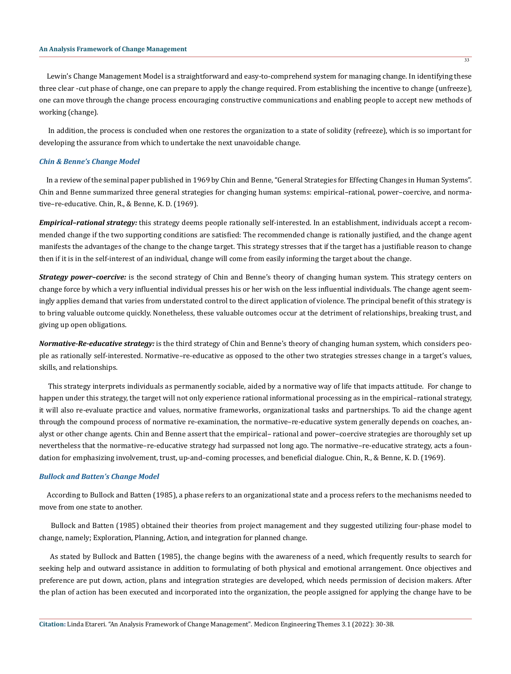Lewin's Change Management Model is a straightforward and easy-to-comprehend system for managing change. In identifying these three clear -cut phase of change, one can prepare to apply the change required. From establishing the incentive to change (unfreeze), one can move through the change process encouraging constructive communications and enabling people to accept new methods of working (change).

 In addition, the process is concluded when one restores the organization to a state of solidity (refreeze), which is so important for developing the assurance from which to undertake the next unavoidable change.

#### *Chin & Benne's Change Model*

 In a review of the seminal paper published in 1969 by Chin and Benne, "General Strategies for Effecting Changes in Human Systems". Chin and Benne summarized three general strategies for changing human systems: empirical–rational, power–coercive, and normative–re-educative. Chin, R., & Benne, K. D. (1969).

*Empirical–rational strategy:* this strategy deems people rationally self-interested. In an establishment, individuals accept a recommended change if the two supporting conditions are satisfied: The recommended change is rationally justified, and the change agent manifests the advantages of the change to the change target. This strategy stresses that if the target has a justifiable reason to change then if it is in the self-interest of an individual, change will come from easily informing the target about the change.

*Strategy power–coercive:* is the second strategy of Chin and Benne's theory of changing human system. This strategy centers on change force by which a very influential individual presses his or her wish on the less influential individuals. The change agent seemingly applies demand that varies from understated control to the direct application of violence. The principal benefit of this strategy is to bring valuable outcome quickly. Nonetheless, these valuable outcomes occur at the detriment of relationships, breaking trust, and giving up open obligations.

*Normative-Re-educative strategy:* is the third strategy of Chin and Benne's theory of changing human system, which considers people as rationally self-interested. Normative–re-educative as opposed to the other two strategies stresses change in a target's values, skills, and relationships.

 This strategy interprets individuals as permanently sociable, aided by a normative way of life that impacts attitude. For change to happen under this strategy, the target will not only experience rational informational processing as in the empirical–rational strategy, it will also re-evaluate practice and values, normative frameworks, organizational tasks and partnerships. To aid the change agent through the compound process of normative re-examination, the normative–re-educative system generally depends on coaches, analyst or other change agents. Chin and Benne assert that the empirical– rational and power–coercive strategies are thoroughly set up nevertheless that the normative–re-educative strategy had surpassed not long ago. The normative–re-educative strategy, acts a foundation for emphasizing involvement, trust, up-and–coming processes, and beneficial dialogue. Chin, R., & Benne, K. D. (1969).

## *Bullock and Batten's Change Model*

 According to Bullock and Batten (1985), a phase refers to an organizational state and a process refers to the mechanisms needed to move from one state to another.

 Bullock and Batten (1985) obtained their theories from project management and they suggested utilizing four-phase model to change, namely; Exploration, Planning, Action, and integration for planned change.

 As stated by Bullock and Batten (1985), the change begins with the awareness of a need, which frequently results to search for seeking help and outward assistance in addition to formulating of both physical and emotional arrangement. Once objectives and preference are put down, action, plans and integration strategies are developed, which needs permission of decision makers. After the plan of action has been executed and incorporated into the organization, the people assigned for applying the change have to be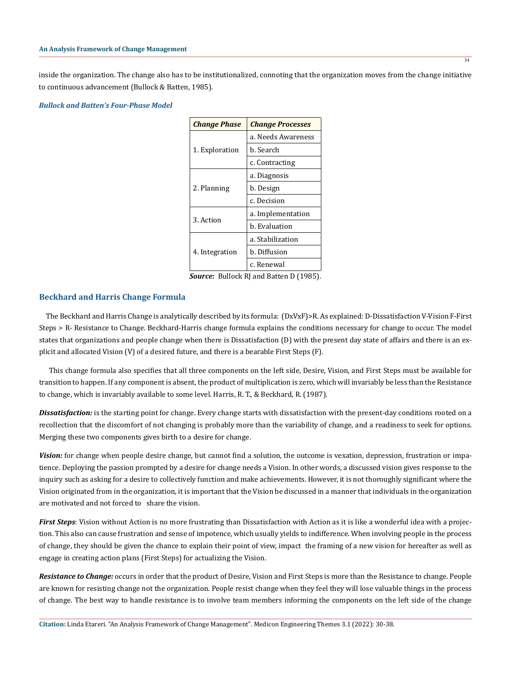inside the organization. The change also has to be institutionalized, connoting that the organization moves from the change initiative to continuous advancement (Bullock & Batten, 1985).

# *Bullock and Batten's Four-Phase Model*

| <b>Change Phase</b> | <b>Change Processes</b> |
|---------------------|-------------------------|
| 1. Exploration      | a. Needs Awareness      |
|                     | b. Search               |
|                     | c. Contracting          |
| 2. Planning         | a. Diagnosis            |
|                     | b. Design               |
|                     | c. Decision             |
| 3. Action           | a. Implementation       |
|                     | h. Evaluation           |
| 4. Integration      | a. Stabilization        |
|                     | b. Diffusion            |
|                     | c. Renewal              |

*Source:* Bullock RJ and Batten D (1985).

# **Beckhard and Harris Change Formula**

 The Beckhard and Harris Change is analytically described by its formula: (DxVxF)>R. As explained: D-Dissatisfaction V-Vision F-First Steps > R- Resistance to Change. Beckhard-Harris change formula explains the conditions necessary for change to occur. The model states that organizations and people change when there is Dissatisfaction (D) with the present day state of affairs and there is an explicit and allocated Vision (V) of a desired future, and there is a bearable First Steps (F).

 This change formula also specifies that all three components on the left side, Desire, Vision, and First Steps must be available for transition to happen. If any component is absent, the product of multiplication is zero, which will invariably be less than the Resistance to change, which is invariably available to some level. Harris, R. T., & Beckhard, R. (1987).

**Dissatisfaction:** is the starting point for change. Every change starts with dissatisfaction with the present-day conditions rooted on a recollection that the discomfort of not changing is probably more than the variability of change, and a readiness to seek for options. Merging these two components gives birth to a desire for change.

*Vision:* for change when people desire change, but cannot find a solution, the outcome is vexation, depression, frustration or impatience. Deploying the passion prompted by a desire for change needs a Vision. In other words, a discussed vision gives response to the inquiry such as asking for a desire to collectively function and make achievements. However, it is not thoroughly significant where the Vision originated from in the organization, it is important that the Vision be discussed in a manner that individuals in the organization are motivated and not forced to share the vision.

*First Steps*: Vision without Action is no more frustrating than Dissatisfaction with Action as it is like a wonderful idea with a projection. This also can cause frustration and sense of impotence, which usually yields to indifference. When involving people in the process of change, they should be given the chance to explain their point of view, impact the framing of a new vision for hereafter as well as engage in creating action plans (First Steps) for actualizing the Vision.

*Resistance to Change:* occurs in order that the product of Desire, Vision and First Steps is more than the Resistance to change. People are known for resisting change not the organization. People resist change when they feel they will lose valuable things in the process of change. The best way to handle resistance is to involve team members informing the components on the left side of the change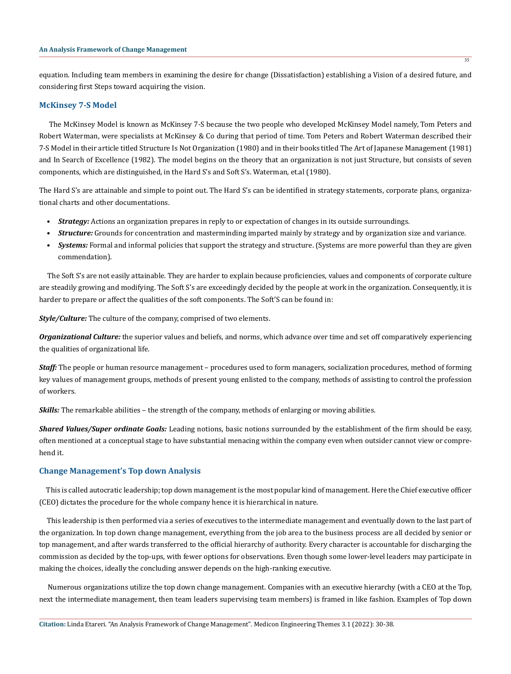equation. Including team members in examining the desire for change (Dissatisfaction) establishing a Vision of a desired future, and considering first Steps toward acquiring the vision.

# **McKinsey 7-S Model**

 The McKinsey Model is known as McKinsey 7-S because the two people who developed McKinsey Model namely, Tom Peters and Robert Waterman, were specialists at McKinsey & Co during that period of time. Tom Peters and Robert Waterman described their 7-S Model in their article titled Structure Is Not Organization (1980) and in their books titled The Art of Japanese Management (1981) and In Search of Excellence (1982). The model begins on the theory that an organization is not just Structure, but consists of seven components, which are distinguished, in the Hard S's and Soft S's. Waterman, et.al (1980).

The Hard S's are attainable and simple to point out. The Hard S's can be identified in strategy statements, corporate plans, organizational charts and other documentations.

- *Strategy:* Actions an organization prepares in reply to or expectation of changes in its outside surroundings.
- *Structure:* Grounds for concentration and masterminding imparted mainly by strategy and by organization size and variance.
- *Systems:* Formal and informal policies that support the strategy and structure. (Systems are more powerful than they are given commendation).

 The Soft S's are not easily attainable. They are harder to explain because proficiencies, values and components of corporate culture are steadily growing and modifying. The Soft S's are exceedingly decided by the people at work in the organization. Consequently, it is harder to prepare or affect the qualities of the soft components. The Soft'S can be found in:

*Style/Culture:* The culture of the company, comprised of two elements.

*Organizational Culture:* the superior values and beliefs, and norms, which advance over time and set off comparatively experiencing the qualities of organizational life.

*Staff:* The people or human resource management – procedures used to form managers, socialization procedures, method of forming key values of management groups, methods of present young enlisted to the company, methods of assisting to control the profession of workers.

*Skills:* The remarkable abilities – the strength of the company, methods of enlarging or moving abilities.

*Shared Values/Super ordinate Goals:* Leading notions, basic notions surrounded by the establishment of the firm should be easy, often mentioned at a conceptual stage to have substantial menacing within the company even when outsider cannot view or comprehend it.

### **Change Management's Top down Analysis**

 This is called autocratic leadership; top down management is the most popular kind of management. Here the Chief executive officer (CEO) dictates the procedure for the whole company hence it is hierarchical in nature.

 This leadership is then performed via a series of executives to the intermediate management and eventually down to the last part of the organization. In top down change management, everything from the job area to the business process are all decided by senior or top management, and after wards transferred to the official hierarchy of authority. Every character is accountable for discharging the commission as decided by the top-ups, with fewer options for observations. Even though some lower-level leaders may participate in making the choices, ideally the concluding answer depends on the high-ranking executive.

 Numerous organizations utilize the top down change management. Companies with an executive hierarchy (with a CEO at the Top, next the intermediate management, then team leaders supervising team members) is framed in like fashion. Examples of Top down

35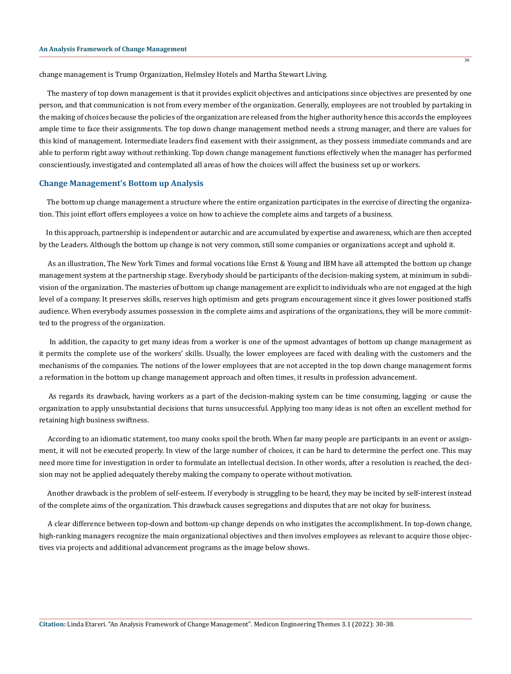change management is Trump Organization, Helmsley Hotels and Martha Stewart Living.

 The mastery of top down management is that it provides explicit objectives and anticipations since objectives are presented by one person, and that communication is not from every member of the organization. Generally, employees are not troubled by partaking in the making of choices because the policies of the organization are released from the higher authority hence this accords the employees ample time to face their assignments. The top down change management method needs a strong manager, and there are values for this kind of management. Intermediate leaders find easement with their assignment, as they possess immediate commands and are able to perform right away without rethinking. Top down change management functions effectively when the manager has performed conscientiously, investigated and contemplated all areas of how the choices will affect the business set up or workers.

# **Change Management's Bottom up Analysis**

 The bottom up change management a structure where the entire organization participates in the exercise of directing the organization. This joint effort offers employees a voice on how to achieve the complete aims and targets of a business.

 In this approach, partnership is independent or autarchic and are accumulated by expertise and awareness, which are then accepted by the Leaders. Although the bottom up change is not very common, still some companies or organizations accept and uphold it.

 As an illustration, The New York Times and formal vocations like Ernst & Young and IBM have all attempted the bottom up change management system at the partnership stage. Everybody should be participants of the decision-making system, at minimum in subdivision of the organization. The masteries of bottom up change management are explicit to individuals who are not engaged at the high level of a company. It preserves skills, reserves high optimism and gets program encouragement since it gives lower positioned staffs audience. When everybody assumes possession in the complete aims and aspirations of the organizations, they will be more committed to the progress of the organization.

 In addition, the capacity to get many ideas from a worker is one of the upmost advantages of bottom up change management as it permits the complete use of the workers' skills. Usually, the lower employees are faced with dealing with the customers and the mechanisms of the companies. The notions of the lower employees that are not accepted in the top down change management forms a reformation in the bottom up change management approach and often times, it results in profession advancement.

 As regards its drawback, having workers as a part of the decision-making system can be time consuming, lagging or cause the organization to apply unsubstantial decisions that turns unsuccessful. Applying too many ideas is not often an excellent method for retaining high business swiftness.

 According to an idiomatic statement, too many cooks spoil the broth. When far many people are participants in an event or assignment, it will not be executed properly. In view of the large number of choices, it can be hard to determine the perfect one. This may need more time for investigation in order to formulate an intellectual decision. In other words, after a resolution is reached, the decision may not be applied adequately thereby making the company to operate without motivation.

 Another drawback is the problem of self-esteem. If everybody is struggling to be heard, they may be incited by self-interest instead of the complete aims of the organization. This drawback causes segregations and disputes that are not okay for business.

 A clear difference between top-down and bottom-up change depends on who instigates the accomplishment. In top-down change, high-ranking managers recognize the main organizational objectives and then involves employees as relevant to acquire those objectives via projects and additional advancement programs as the image below shows.

36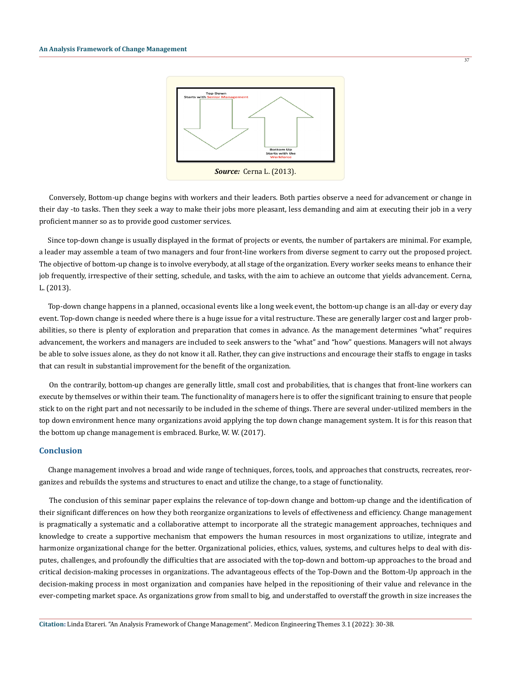

37

 Conversely, Bottom-up change begins with workers and their leaders. Both parties observe a need for advancement or change in their day -to tasks. Then they seek a way to make their jobs more pleasant, less demanding and aim at executing their job in a very proficient manner so as to provide good customer services.

 Since top-down change is usually displayed in the format of projects or events, the number of partakers are minimal. For example, a leader may assemble a team of two managers and four front-line workers from diverse segment to carry out the proposed project. The objective of bottom-up change is to involve everybody, at all stage of the organization. Every worker seeks means to enhance their job frequently, irrespective of their setting, schedule, and tasks, with the aim to achieve an outcome that yields advancement. Cerna, L. (2013).

 Top-down change happens in a planned, occasional events like a long week event, the bottom-up change is an all-day or every day event. Top-down change is needed where there is a huge issue for a vital restructure. These are generally larger cost and larger probabilities, so there is plenty of exploration and preparation that comes in advance. As the management determines "what" requires advancement, the workers and managers are included to seek answers to the "what" and "how" questions. Managers will not always be able to solve issues alone, as they do not know it all. Rather, they can give instructions and encourage their staffs to engage in tasks that can result in substantial improvement for the benefit of the organization.

 On the contrarily, bottom-up changes are generally little, small cost and probabilities, that is changes that front-line workers can execute by themselves or within their team. The functionality of managers here is to offer the significant training to ensure that people stick to on the right part and not necessarily to be included in the scheme of things. There are several under-utilized members in the top down environment hence many organizations avoid applying the top down change management system. It is for this reason that the bottom up change management is embraced. Burke, W. W. (2017).

# **Conclusion**

 Change management involves a broad and wide range of techniques, forces, tools, and approaches that constructs, recreates, reorganizes and rebuilds the systems and structures to enact and utilize the change, to a stage of functionality.

 The conclusion of this seminar paper explains the relevance of top-down change and bottom-up change and the identification of their significant differences on how they both reorganize organizations to levels of effectiveness and efficiency. Change management is pragmatically a systematic and a collaborative attempt to incorporate all the strategic management approaches, techniques and knowledge to create a supportive mechanism that empowers the human resources in most organizations to utilize, integrate and harmonize organizational change for the better. Organizational policies, ethics, values, systems, and cultures helps to deal with disputes, challenges, and profoundly the difficulties that are associated with the top-down and bottom-up approaches to the broad and critical decision-making processes in organizations. The advantageous effects of the Top-Down and the Bottom-Up approach in the decision-making process in most organization and companies have helped in the repositioning of their value and relevance in the ever-competing market space. As organizations grow from small to big, and understaffed to overstaff the growth in size increases the